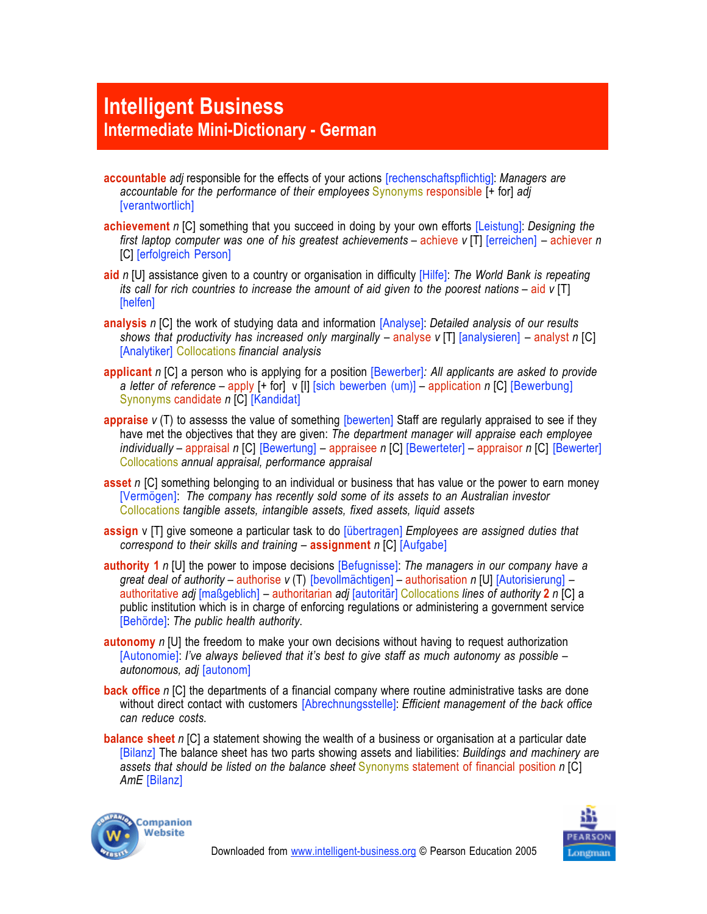## **Intelligent Business Intermediate Mini-Dictionary - German**

- **accountable** *adj* responsible for the effects of your actions [rechenschaftspflichtig]: *Managers are accountable for the performance of their employees* Synonyms responsible [+ for] *adj* [verantwortlich]
- **achievement** *n* [C] something that you succeed in doing by your own efforts [Leistung]: *Designing the first laptop computer was one of his greatest achievements* – achieve *v* [T] [erreichen] – achiever *n* [C] [erfolgreich Person]
- **aid** *n* [U] assistance given to a country or organisation in difficulty [Hilfe]: *The World Bank is repeating its call for rich countries to increase the amount of aid given to the poorest nations* – aid *v* [T] [helfen]
- **analysis** *n* [C] the work of studying data and information [Analyse]: *Detailed analysis of our results shows that productivity has increased only marginally – analyse <i>v* [T] [analysieren] – analyst *n* [C] [Analytiker] Collocations *financial analysis*
- **applicant** *n* [C] a person who is applying for a position [Bewerber]*: All applicants are asked to provide a letter of reference* – apply [+ for] v [I] [sich bewerben (um)] – application *n* [C] [Bewerbung] Synonyms candidate *n* [C] [Kandidat]
- **appraise** *v* (T) to assesss the value of something [bewerten] Staff are regularly appraised to see if they have met the objectives that they are given: *The department manager will appraise each employee individually* – appraisal *n* [C] [Bewertung] – appraisee *n* [C] [Bewerteter] – appraisor *n* [C] [Bewerter] Collocations *annual appraisal, performance appraisal*
- **asset** *n* [C] something belonging to an individual or business that has value or the power to earn money [Vermögen]: *The company has recently sold some of its assets to an Australian investor* Collocations *tangible assets, intangible assets, fixed assets, liquid assets*
- **assign** v [T] give someone a particular task to do [übertragen] *Employees are assigned duties that correspond to their skills and training* – **assignment** *n* [C] [Aufgabe]
- **authority 1** *n* [U] the power to impose decisions [Befugnisse]: *The managers in our company have a great deal of authority* – authorise *v* (T) [bevollmächtigen] – authorisation *n* [U] [Autorisierung] – authoritative *adj* [maßgeblich] –!authoritarian *adj* [autoritär] Collocations *lines of authority* **2** *n* [C] a public institution which is in charge of enforcing regulations or administering a government service [Behörde]: *The public health authority*.
- **autonomy** *n* [U] the freedom to make your own decisions without having to request authorization [Autonomie]: *I've always believed that it's best to give staff as much autonomy as possible – autonomous, adj* [autonom]
- **back office** *n* [C] the departments of a financial company where routine administrative tasks are done without direct contact with customers [Abrechnungsstelle]: *Efficient management of the back office can reduce costs.*
- **balance sheet** *n* [C] a statement showing the wealth of a business or organisation at a particular date [Bilanz] The balance sheet has two parts showing assets and liabilities: *Buildings and machinery are assets that should be listed on the balance sheet* Synonyms statement of financial position *n* [C] *AmE* [Bilanz]



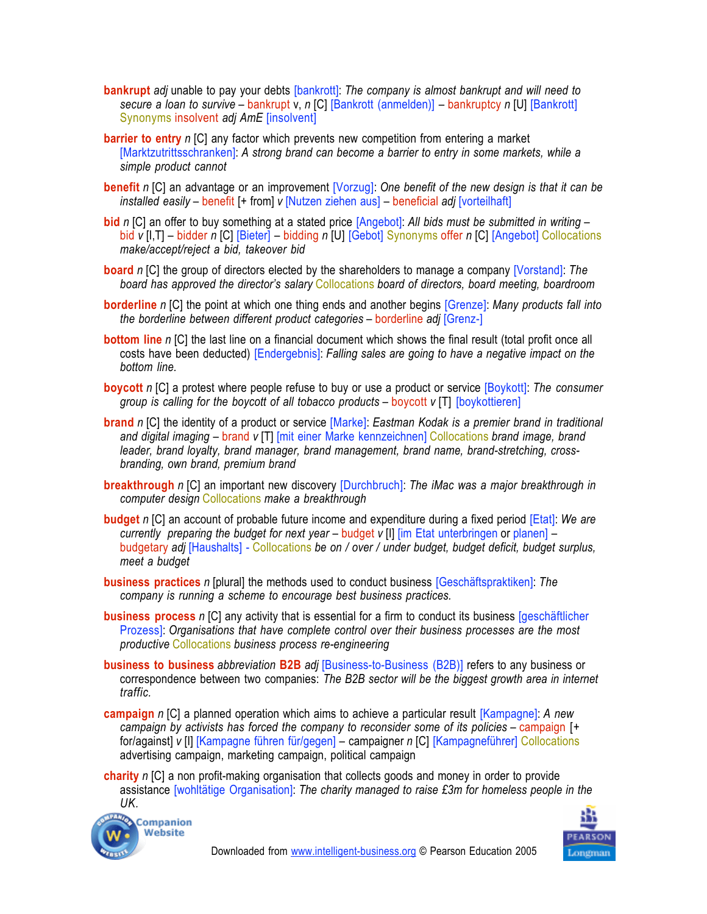- **bankrupt** *adj* unable to pay your debts [bankrott]: *The company is almost bankrupt and will need to secure a loan to survive* – bankrupt v, *n* [C] [Bankrott (anmelden)] – bankruptcy *n* [U] [Bankrott] Synonyms insolvent *adj AmE* [insolvent]
- **barrier to entry** *n* [C] any factor which prevents new competition from entering a market [Marktzutrittsschranken]: *A strong brand can become a barrier to entry in some markets, while a simple product cannot*
- **benefit** *n* [C] an advantage or an improvement [Vorzug]: *One benefit of the new design is that it can be installed easily* – benefit [+ from] *v* [Nutzen ziehen aus] – beneficial *adj* [vorteilhaft]
- **bid** *n* [C] an offer to buy something at a stated price [Angebot]: *All bids must be submitted in writing* bid *v* [I,T] – bidder *n* [C] [Bieter] – bidding *n* [U] [Gebot] Synonyms offer *n* [C] [Angebot] Collocations *make/accept/reject a bid, takeover bid*
- **board** *n* [C] the group of directors elected by the shareholders to manage a company [Vorstand]: *The board has approved the director's salary* Collocations *board of directors, board meeting, boardroom*
- **borderline** *n* [C] the point at which one thing ends and another begins [Grenze]: *Many products fall into the borderline between different product categories* – borderline *adj* [Grenz-]
- **bottom line** *n* [C] the last line on a financial document which shows the final result (total profit once all costs have been deducted) [Endergebnis]: *Falling sales are going to have a negative impact on the bottom line.*
- **boycott** *n* [C] a protest where people refuse to buy or use a product or service [Boykott]: *The consumer group is calling for the boycott of all tobacco products* – boycott *v* [T] [boykottieren]
- **brand** *n* [C] the identity of a product or service [Marke]: *Eastman Kodak is a premier brand in traditional and digital imaging* – brand *v* [T] [mit einer Marke kennzeichnen] Collocations *brand image, brand leader, brand loyalty, brand manager, brand management, brand name, brand-stretching, crossbranding, own brand, premium brand*
- **breakthrough** *n* [C] an important new discovery [Durchbruch]: *The iMac was a major breakthrough in computer design* Collocations *make a breakthrough*
- **budget** *n* [C] an account of probable future income and expenditure during a fixed period [Etat]: *We are currently preparing the budget for next year – budget v [I] [im Etat unterbringen or planen] –* budgetary *adj* [Haushalts] - Collocations *be on / over / under budget, budget deficit, budget surplus, meet a budget*
- **business practices** *n* [plural] the methods used to conduct business [Geschäftspraktiken]: *The company is running a scheme to encourage best business practices.*
- **business process** *n* [C] any activity that is essential for a firm to conduct its business [geschäftlicher Prozess]: *Organisations that have complete control over their business processes are the most productive* Collocations *business process re-engineering*
- **business to business** *abbreviation* **B2B** *adj* [Business-to-Business (B2B)] refers to any business or correspondence between two companies: *The B2B sector will be the biggest growth area in internet traffic.*
- **campaign** *n* [C] a planned operation which aims to achieve a particular result [Kampagne]: *A new campaign by activists has forced the company to reconsider some of its policies* – campaign [+ for/against] *v* [I] [Kampagne führen für/gegen] – campaigner *n* [C] [Kampagneführer] Collocations advertising campaign, marketing campaign, political campaign
- **charity** *n* [C] a non profit-making organisation that collects goods and money in order to provide assistance [wohltätige Organisation]: *The charity managed to raise £3m for homeless people in the UK.*



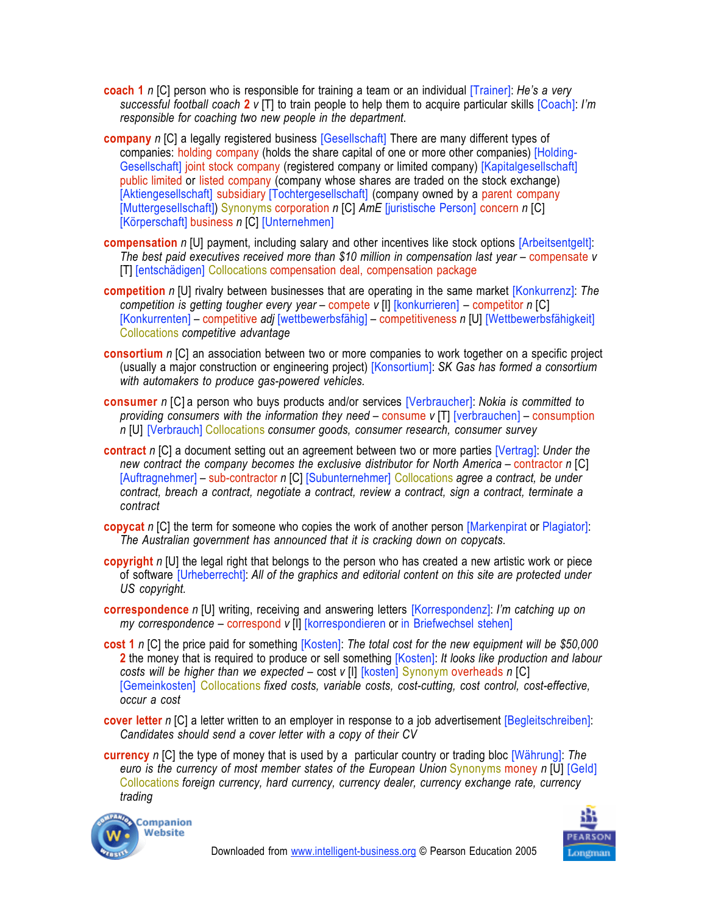- **coach 1** *n* [C] person who is responsible for training a team or an individual [Trainer]: *He's a very successful football coach* **2** *v* [T] to train people to help them to acquire particular skills [Coach]: *I'm responsible for coaching two new people in the department*.
- **company** *n* [C] a legally registered business [Gesellschaft] There are many different types of companies: holding company (holds the share capital of one or more other companies) [Holding-Gesellschaft] joint stock company (registered company or limited company) [Kapitalgesellschaft] public limited or listed company (company whose shares are traded on the stock exchange) [Aktiengesellschaft] subsidiary [Tochtergesellschaft] (company owned by a parent company [Muttergesellschaft]) Synonyms corporation *n* [C] *AmE* [juristische Person] concern *n* [C] [Körperschaft] business *n* [C] [Unternehmen]
- **compensation** *n* [U] payment, including salary and other incentives like stock options [Arbeitsentgelt]: *The best paid executives received more than \$10 million in compensation last year – compensate v* [T] [entschädigen] Collocations compensation deal, compensation package
- **competition** *n* [U] rivalry between businesses that are operating in the same market [Konkurrenz]: *The competition is getting tougher every year* – compete *v* [I] [konkurrieren] – competitor *n* [C] [Konkurrenten] – competitive *adj* [wettbewerbsfähig] – competitiveness *n* [U] [Wettbewerbsfähigkeit] Collocations *competitive advantage*
- **consortium** *n* [C] an association between two or more companies to work together on a specific project (usually a major construction or engineering project) [Konsortium]: *SK Gas has formed a consortium with automakers to produce gas-powered vehicles.*
- **consumer** *n* [C] a person who buys products and/or services [Verbraucher]: *Nokia is committed to providing consumers with the information they need* – consume *v* [T] [verbrauchen] – consumption *n* [U] [Verbrauch] Collocations *consumer goods, consumer research, consumer survey*
- **contract** *n* [C] a document setting out an agreement between two or more parties [Vertrag]: *Under the new contract the company becomes the exclusive distributor for North America* –!contractor *n* [C] [Auftragnehmer] – sub-contractor *n* [C] [Subunternehmer] Collocations *agree a contract, be under contract, breach a contract, negotiate a contract, review a contract, sign a contract, terminate a contract*
- **copycat** *n* [C] the term for someone who copies the work of another person [Markenpirat or Plagiator]: *The Australian government has announced that it is cracking down on copycats*.
- **copyright** *n* [U] the legal right that belongs to the person who has created a new artistic work or piece of software [Urheberrecht]: *All of the graphics and editorial content on this site are protected under US copyright.*
- **correspondence** *n* [U] writing, receiving and answering letters [Korrespondenz]: *I'm catching up on my correspondence* – correspond *v* [I] [korrespondieren or in Briefwechsel stehen]
- **cost 1** *n* [C] the price paid for something [Kosten]: *The total cost for the new equipment will be \$50,000* **2** the money that is required to produce or sell something [Kosten]: *It looks like production and labour costs will be higher than we expected* – cost *v* [I] [kosten] Synonym overheads *n* [C] [Gemeinkosten] Collocations *fixed costs, variable costs, cost-cutting, cost control, cost-effective, occur a cost*
- **cover letter** *n* [C] a letter written to an employer in response to a job advertisement [Begleitschreiben]: *Candidates should send a cover letter with a copy of their CV*
- **currency** *n* [C] the type of money that is used by a particular country or trading bloc [Währung]: *The euro is the currency of most member states of the European Union Synonyms money n [U] [Geld]* Collocations *foreign currency, hard currency, currency dealer, currency exchange rate, currency trading*



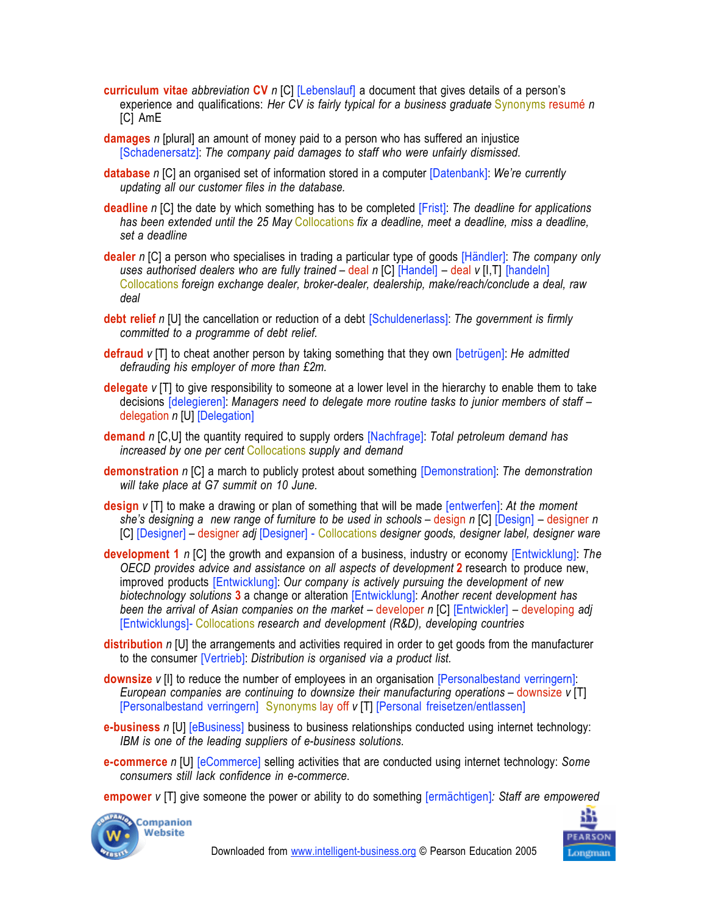- **curriculum vitae** *abbreviation* **CV** *n* [C] [Lebenslauf] a document that gives details of a person's experience and qualifications: *Her CV is fairly typical for a business graduate* Synonyms resumé *n* [C] AmE
- **damages** *n* [plural] an amount of money paid to a person who has suffered an injustice [Schadenersatz]: *The company paid damages to staff who were unfairly dismissed*.
- **database** *n* [C] an organised set of information stored in a computer [Datenbank]: *We're currently updating all our customer files in the database.*
- **deadline** *n* [C] the date by which something has to be completed [Frist]: *The deadline for applications has been extended until the 25 May* Collocations *fix a deadline, meet a deadline, miss a deadline, set a deadline*
- **dealer** *n* [C] a person who specialises in trading a particular type of goods [Händler]: *The company only uses authorised dealers who are fully trained* – deal *n* [C] [Handel] – deal *v* [I,T] [handeln] Collocations *foreign exchange dealer, broker-dealer, dealership, make/reach/conclude a deal, raw deal*
- **debt relief** *n* [U] the cancellation or reduction of a debt [Schuldenerlass]: *The government is firmly committed to a programme of debt relief.*
- **defraud** *v* [T] to cheat another person by taking something that they own [betrügen]: *He admitted defrauding his employer of more than £2m.*
- **delegate** *v* [T] to give responsibility to someone at a lower level in the hierarchy to enable them to take decisions [delegieren]: *Managers need to delegate more routine tasks to junior members of staff* – delegation *n* [U] [Delegation]
- **demand** *n* [C,U] the quantity required to supply orders [Nachfrage]: *Total petroleum demand has increased by one per cent* Collocations *supply and demand*
- **demonstration** *n* [C] a march to publicly protest about something [Demonstration]: *The demonstration will take place at G7 summit on 10 June.*
- **design** *v* [T] to make a drawing or plan of something that will be made [entwerfen]: *At the moment she's designing a new range of furniture to be used in schools* – design *n* [C] [Design] – designer *n* [C] [Designer] – designer *adj* [Designer] - Collocations *designer goods, designer label, designer ware*
- **development 1** *n* [C] the growth and expansion of a business, industry or economy [Entwicklung]: *The OECD provides advice and assistance on all aspects of development* **2** research to produce new, improved products [Entwicklung]: *Our company is actively pursuing the development of new biotechnology solutions* **3** a change or alteration [Entwicklung]: *Another recent development has been the arrival of Asian companies on the market – developer <i>n* [C] [Entwickler] – developing *adj* [Entwicklungs]- Collocations *research and development (R&D), developing countries*
- **distribution** *n* [U] the arrangements and activities required in order to get goods from the manufacturer to the consumer [Vertrieb]: *Distribution is organised via a product list.*
- **downsize** *v* [I] to reduce the number of employees in an organisation [Personalbestand verringern]: *European companies are continuing to downsize their manufacturing operations* – downsize *v* [T] [Personalbestand verringern] Synonyms lay off *v* [T] [Personal freisetzen/entlassen]
- **e-business** *n* [U] [eBusiness] business to business relationships conducted using internet technology: *IBM is one of the leading suppliers of e-business solutions*.
- **e-commerce** *n* [U] [eCommerce] selling activities that are conducted using internet technology: *Some consumers still lack confidence in e-commerce*.
- **empower** *v* [T] give someone the power or ability to do something [ermächtigen]*: Staff are empowered*



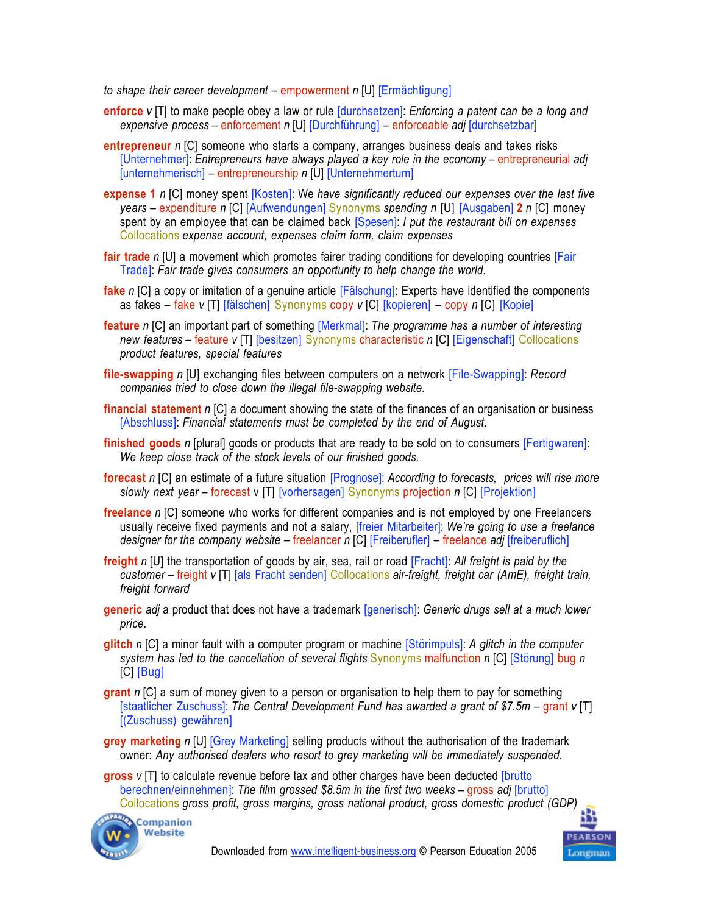*to shape their career development* – empowerment *n* [U] [Ermächtigung]

- **enforce** *v* [T| to make people obey a law or rule [durchsetzen]: *Enforcing a patent can be a long and expensive process* – enforcement *n* [U] [Durchführung] – enforceable *adj* [durchsetzbar]
- **entrepreneur** *n* [C] someone who starts a company, arranges business deals and takes risks [Unternehmer]: *Entrepreneurs have always played a key role in the economy* – entrepreneurial *adj* [unternehmerisch] – entrepreneurship *n* [U] [Unternehmertum]
- **expense 1** *n* [C] money spent [Kosten]: We *have significantly reduced our expenses over the last five years* – expenditure *n* [C] [Aufwendungen] Synonyms *spending n* [U] [Ausgaben] **2** *n* [C] money spent by an employee that can be claimed back [Spesen]: *I put the restaurant bill on expenses* Collocations *expense account, expenses claim form, claim expenses*
- **fair trade** *n* [U] a movement which promotes fairer trading conditions for developing countries [Fair Trade]: *Fair trade gives consumers an opportunity to help change the world*.
- **fake** *n* [C] a copy or imitation of a genuine article [Fälschung]: Experts have identified the components as fakes – fake *v* [T] [fälschen] Synonyms copy *v* [C] [kopieren] – copy *n* [C] [Kopie]
- **feature** *n* [C] an important part of something [Merkmal]: *The programme has a number of interesting new features* – feature *v* [T] [besitzen] Synonyms characteristic *n* [C] [Eigenschaft] Collocations *product features, special features*
- **file-swapping** *n* [U] exchanging files between computers on a network [File-Swapping]: *Record companies tried to close down the illegal file-swapping website.*
- **financial statement** *n* [C] a document showing the state of the finances of an organisation or business [Abschluss]: *Financial statements must be completed by the end of August*.
- **finished goods** *n* [plural] goods or products that are ready to be sold on to consumers [Fertigwaren]: *We keep close track of the stock levels of our finished goods.*
- **forecast** *n* [C] an estimate of a future situation [Prognose]: *According to forecasts, prices will rise more slowly next year* – forecast v [T] [vorhersagen] Synonyms projection *n* [C] [Projektion]
- **freelance** *n* [C] someone who works for different companies and is not employed by one Freelancers usually receive fixed payments and not a salary, [freier Mitarbeiter]: *We're going to use a freelance designer for the company website* – freelancer *n* [C] [Freiberufler] – freelance *adj* [freiberuflich]
- **freight** *n* [U] the transportation of goods by air, sea, rail or road [Fracht]: *All freight is paid by the customer* – freight *v* [T] [als Fracht senden] Collocations *air-freight, freight car (AmE), freight train, freight forward*
- **generic** *adj* a product that does not have a trademark [generisch]: *Generic drugs sell at a much lower price.*
- **glitch** *n* [C] a minor fault with a computer program or machine [Störimpuls]: *A glitch in the computer system has led to the cancellation of several flights* Synonyms malfunction *n* [C] [Störung] bug *n* [C] [Bug]
- **grant** *n* [C] a sum of money given to a person or organisation to help them to pay for something [staatlicher Zuschuss]: The Central Development Fund has awarded a grant of \$7.5m – grant *v* [T] [(Zuschuss) gewähren]
- **grey marketing** *n* [U] [Grey Marketing] selling products without the authorisation of the trademark owner: *Any authorised dealers who resort to grey marketing will be immediately suspended.*

**gross** *v* [T] to calculate revenue before tax and other charges have been deducted [brutto berechnen/einnehmen]: *The film grossed \$8.5m in the first two weeks* – gross *adj* [brutto] Collocations *gross profit, gross margins, gross national product, gross domestic product (GDP)*



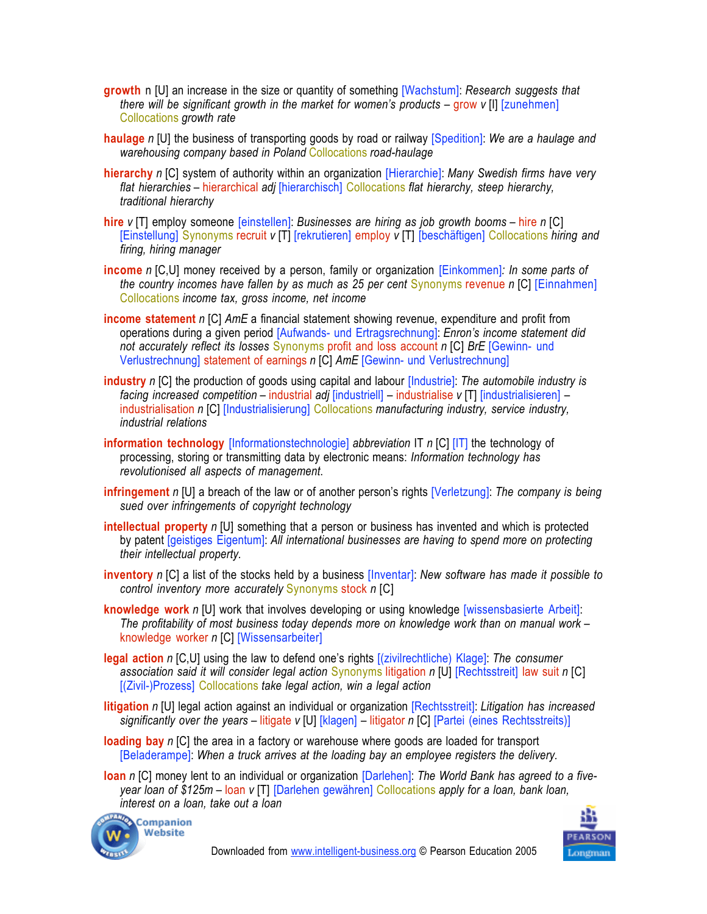- **growth** n [U] an increase in the size or quantity of something [Wachstum]: *Research suggests that there will be significant growth in the market for women's products – grow <i>v* [I] [zunehmen] Collocations *growth rate*
- **haulage** *n* [U] the business of transporting goods by road or railway [Spedition]: *We are a haulage and warehousing company based in Poland* Collocations *road-haulage*
- **hierarchy** *n* [C] system of authority within an organization [Hierarchie]: *Many Swedish firms have very flat hierarchies* – hierarchical *adj* [hierarchisch] Collocations *flat hierarchy, steep hierarchy, traditional hierarchy*
- **hire** *v* [T] employ someone [einstellen]: *Businesses are hiring as job growth booms* hire *n* [C] [Einstellung] Synonyms recruit *v* [T] [rekrutieren] employ *v* [T] [beschäftigen] Collocations *hiring and firing, hiring manager*
- **income** *n* [C,U] money received by a person, family or organization [Einkommen]*: In some parts of the country incomes have fallen by as much as 25 per cent Synonyms revenue n [C] [Einnahmen]* Collocations *income tax, gross income, net income*
- **income statement** *n* [C] *AmE* a financial statement showing revenue, expenditure and profit from operations during a given period [Aufwands- und Ertragsrechnung]: *Enron's income statement did not accurately reflect its losses* Synonyms profit and loss account *n* [C] *BrE* [Gewinn- und Verlustrechnung] statement of earnings *n* [C] *AmE* [Gewinn- und Verlustrechnung]
- **industry** *n* [C] the production of goods using capital and labour [Industrie]: *The automobile industry is facing increased competition* – industrial *adj* [industriell] – industrialise *v* [T] [industrialisieren] – industrialisation *n* [C] [Industrialisierung] Collocations *manufacturing industry, service industry, industrial relations*
- **information technology** [Informationstechnologie] *abbreviation* IT *n* [C] [IT] the technology of processing, storing or transmitting data by electronic means: *Information technology has revolutionised all aspects of management*.
- **infringement** *n* [U] a breach of the law or of another person's rights [Verletzung]: *The company is being sued over infringements of copyright technology*
- **intellectual property** *n* [U] something that a person or business has invented and which is protected by patent [geistiges Eigentum]: *All international businesses are having to spend more on protecting their intellectual property.*
- **inventory** *n* [C] a list of the stocks held by a business [Inventar]: *New software has made it possible to control inventory more accurately* Synonyms stock *n* [C]
- **knowledge work** *n* [U] work that involves developing or using knowledge [wissensbasierte Arbeit]: *The profitability of most business today depends more on knowledge work than on manual work* – knowledge worker *n* [C] [Wissensarbeiter]
- **legal action** *n* [C,U] using the law to defend one's rights [(zivilrechtliche) Klage]: *The consumer association said it will consider legal action* Synonyms litigation *n* [U] [Rechtsstreit] law suit *n* [C] [(Zivil-)Prozess] Collocations *take legal action, win a legal action*
- **litigation** *n* [U] legal action against an individual or organization [Rechtsstreit]: *Litigation has increased significantly over the years* – litigate *v* [U] [klagen] – litigator *n* [C] [Partei (eines Rechtsstreits)]
- **loading bay** *n* [C] the area in a factory or warehouse where goods are loaded for transport [Beladerampe]: *When a truck arrives at the loading bay an employee registers the delivery.*
- **loan** *n* [C] money lent to an individual or organization [Darlehen]: *The World Bank has agreed to a fiveyear loan of \$125m* – loan *v* [T] [Darlehen gewähren] Collocations *apply for a loan, bank loan, interest on a loan, take out a loan*



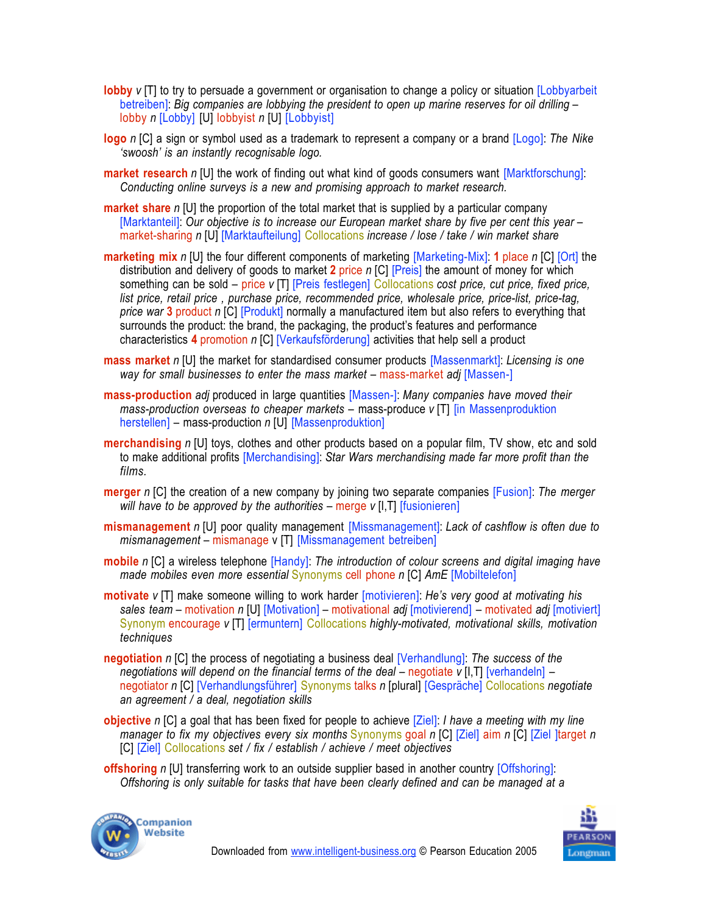- **lobby** *v* [T] to try to persuade a government or organisation to change a policy or situation [Lobbyarbeit betreiben]: *Big companies are lobbying the president to open up marine reserves for oil drilling* – lobby *n* [Lobby] [U] lobbyist *n* [U] [Lobbyist]
- **logo** *n* [C] a sign or symbol used as a trademark to represent a company or a brand [Logo]: *The Nike 'swoosh' is an instantly recognisable logo.*
- **market research** *n* [U] the work of finding out what kind of goods consumers want [Marktforschung]: *Conducting online surveys is a new and promising approach to market research.*
- **market share** *n* [U] the proportion of the total market that is supplied by a particular company [Marktanteil]: *Our objective is to increase our European market share by five per cent this year* – market-sharing *n* [U] [Marktaufteilung] Collocations *increase / lose / take / win market share*
- **marketing mix** *n* [U] the four different components of marketing [Marketing-Mix]: **1** place *n* [C] [Ort] the distribution and delivery of goods to market **2** price *n* [C] [Preis] the amount of money for which something can be sold – price *v* [T] [Preis festlegen] Collocations *cost price, cut price, fixed price, list price, retail price , purchase price, recommended price, wholesale price, price-list, price-tag, price war* **3** product *n* [C] [Produkt] normally a manufactured item but also refers to everything that surrounds the product: the brand, the packaging, the product's features and performance characteristics **4** promotion *n* [C] [Verkaufsförderung] activities that help sell a product
- **mass market** *n* [U] the market for standardised consumer products [Massenmarkt]: *Licensing is one way for small businesses to enter the mass market* –!mass-market *adj* [Massen-]
- **mass-production** *adj* produced in large quantities [Massen-]: *Many companies have moved their mass-production overseas to cheaper markets* – mass-produce *v* [T] [in Massenproduktion herstellen] – mass-production *n* [U] [Massenproduktion]
- **merchandising** *n* [U] toys, clothes and other products based on a popular film, TV show, etc and sold to make additional profits [Merchandising]: *Star Wars merchandising made far more profit than the films.*
- **merger** *n* [C] the creation of a new company by joining two separate companies [Fusion]: *The merger will have to be approved by the authorities* – merge *v* [I,T] [fusionieren]
- **mismanagement** *n* [U] poor quality management [Missmanagement]: *Lack of cashflow is often due to mismanagement* – mismanage v [T] [Missmanagement betreiben]
- **mobile** *n* [C] a wireless telephone [Handy]: *The introduction of colour screens and digital imaging have made mobiles even more essential* Synonyms cell phone *n* [C] *AmE* [Mobiltelefon]
- **motivate** *v* [T] make someone willing to work harder [motivieren]: *He's very good at motivating his sales team* – motivation *n* [U] [Motivation] – motivational *adj* [motivierend] – motivated *adj* [motiviert] Synonym encourage *v* [T] [ermuntern] Collocations *highly-motivated, motivational skills, motivation techniques*
- **negotiation** *n* [C] the process of negotiating a business deal [Verhandlung]: *The success of the negotiations will depend on the financial terms of the deal – negotiate <i>v* [I,T] [verhandeln] – negotiator *n* [C] [Verhandlungsführer] Synonyms talks *n* [plural] [Gespräche] Collocations *negotiate an agreement / a deal, negotiation skills*
- **objective** *n* [C] a goal that has been fixed for people to achieve [Ziel]: *I have a meeting with my line manager to fix my objectives every six months* Synonyms goal *n* [C] [Ziel] aim *n* [C] [Ziel ]target *n* [C] [Ziel] Collocations *set / fix / establish / achieve / meet objectives*
- **offshoring** *n* [U] transferring work to an outside supplier based in another country [Offshoring]: *Offshoring is only suitable for tasks that have been clearly defined and can be managed at a*



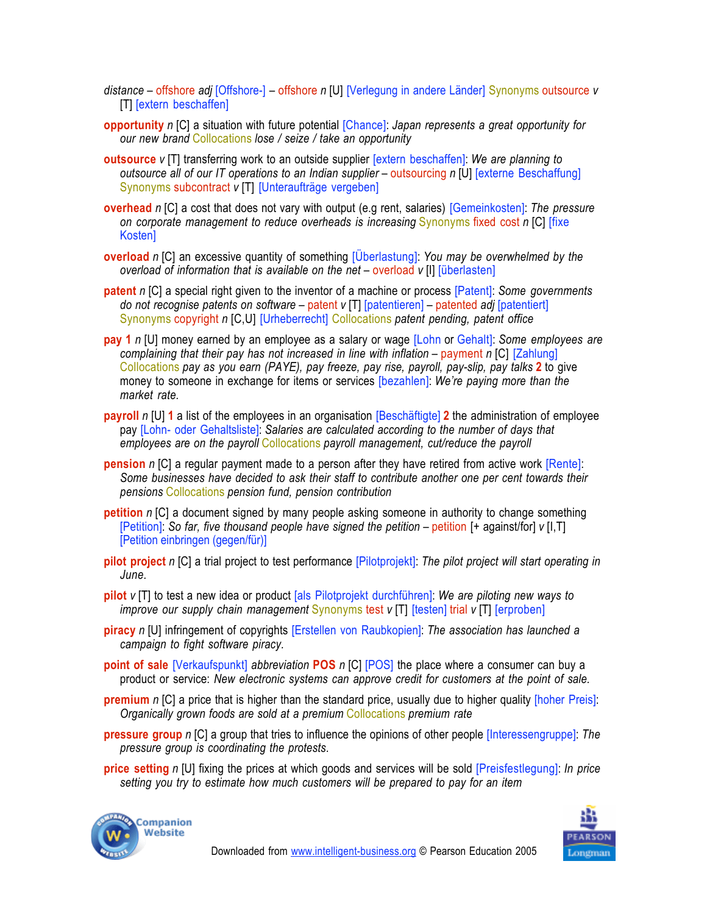- *distance* offshore *adj* [Offshore-] offshore *n* [U] [Verlegung in andere Länder] Synonyms outsource *v* [T] [extern beschaffen]
- **opportunity** *n* [C] a situation with future potential [Chance]: *Japan represents a great opportunity for our new brand* Collocations *lose / seize / take an opportunity*
- **outsource** *v* [T] transferring work to an outside supplier [extern beschaffen]: *We are planning to outsource all of our IT operations to an Indian supplier* – outsourcing *n* [U] [externe Beschaffung] Synonyms subcontract *v* [T] [Unteraufträge vergeben]
- **overhead** *n* [C] a cost that does not vary with output (e.g rent, salaries) [Gemeinkosten]: *The pressure on corporate management to reduce overheads is increasing* Synonyms fixed cost *n* [C] [fixe Kosten]
- **overload** *n* [C] an excessive quantity of something [Überlastung]: *You may be overwhelmed by the overload of information that is available on the net* – overload *v* [I] [überlasten]
- **patent** *n* [C] a special right given to the inventor of a machine or process [Patent]: *Some governments do not recognise patents on software* – patent *v* [T] [patentieren] – patented *adj* [patentiert] Synonyms copyright *n* [C,U] [Urheberrecht] Collocations *patent pending, patent office*
- **pay 1** *n* [U] money earned by an employee as a salary or wage [Lohn or Gehalt]: *Some employees are complaining that their pay has not increased in line with inflation* – payment *n* [C] [Zahlung] Collocations *pay as you earn (PAYE), pay freeze, pay rise, payroll, pay-slip, pay talks* **2** to give money to someone in exchange for items or services [bezahlen]: *We're paying more than the market rate.*
- **payroll** *n* [U] **1** a list of the employees in an organisation [Beschäftigte] **2** the administration of employee pay [Lohn- oder Gehaltsliste]: *Salaries are calculated according to the number of days that employees are on the payroll* Collocations *payroll management, cut/reduce the payroll*
- **pension** *n* [C] a regular payment made to a person after they have retired from active work [Rente]: *Some businesses have decided to ask their staff to contribute another one per cent towards their pensions* Collocations *pension fund, pension contribution*
- **petition** *n* [C] a document signed by many people asking someone in authority to change something [Petition]: *So far, five thousand people have signed the petition* –!petition [+ against/for] *v* [I,T] [Petition einbringen (gegen/für)]
- **pilot project** *n* [C] a trial project to test performance [Pilotprojekt]: *The pilot project will start operating in June.*
- **pilot** *v* [T] to test a new idea or product [als Pilotprojekt durchführen]: *We are piloting new ways to improve our supply chain management* Synonyms test *v* [T] [testen] trial *v* [T] [erproben]
- **piracy** *n* [U] infringement of copyrights [Erstellen von Raubkopien]: *The association has launched a campaign to fight software piracy.*
- **point of sale** [Verkaufspunkt] *abbreviation* **POS** *n* [C] [POS] the place where a consumer can buy a product or service: *New electronic systems can approve credit for customers at the point of sale.*
- **premium** *n* [C] a price that is higher than the standard price, usually due to higher quality [hoher Preis]: *Organically grown foods are sold at a premium* Collocations *premium rate*
- **pressure group** *n* [C] a group that tries to influence the opinions of other people [Interessengruppe]: *The pressure group is coordinating the protests*.
- **price setting** *n* [U] fixing the prices at which goods and services will be sold [Preisfestlegung]: *In price setting you try to estimate how much customers will be prepared to pay for an item*



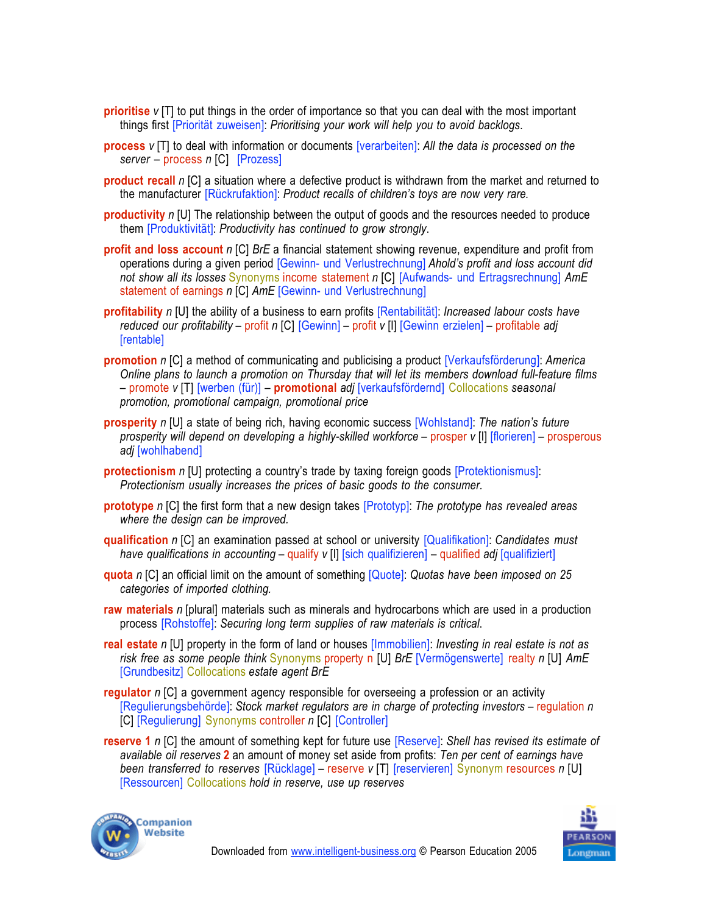- **prioritise** *v* [T] to put things in the order of importance so that you can deal with the most important things first [Priorität zuweisen]: *Prioritising your work will help you to avoid backlogs*.
- **process** *v* [T] to deal with information or documents [verarbeiten]: *All the data is processed on the server* – process *n* [C] [Prozess]
- **product recall** *n* [C] a situation where a defective product is withdrawn from the market and returned to the manufacturer [Rückrufaktion]: *Product recalls of children's toys are now very rare.*
- **productivity** *n* [U] The relationship between the output of goods and the resources needed to produce them [Produktivität]: *Productivity has continued to grow strongly*.
- **profit and loss account** *n* [C] *BrE* a financial statement showing revenue, expenditure and profit from operations during a given period [Gewinn- und Verlustrechnung] *Ahold's profit and loss account did not show all its losses* Synonyms income statement *n* [C] [Aufwands- und Ertragsrechnung] *AmE* statement of earnings *n* [C] *AmE* [Gewinn- und Verlustrechnung]
- **profitability** *n* [U] the ability of a business to earn profits [Rentabilität]: *Increased labour costs have reduced our profitability* – profit *n* [C] [Gewinn] – profit *v* [I] [Gewinn erzielen] – profitable *adj* [rentable]
- **promotion** *n* [C] a method of communicating and publicising a product [Verkaufsförderung]: *America Online plans to launch a promotion on Thursday that will let its members download full-feature films* – promote *v* [T] [werben (für)] – **promotional** *adj* [verkaufsfördernd] Collocations *seasonal promotion, promotional campaign, promotional price*
- **prosperity** *n* [U] a state of being rich, having economic success [Wohlstand]: *The nation's future prosperity will depend on developing a highly-skilled workforce* – prosper *v* [I] [florieren] – prosperous *adj* [wohlhabend]
- **protectionism** *n* [U] protecting a country's trade by taxing foreign goods [Protektionismus]: *Protectionism usually increases the prices of basic goods to the consumer.*
- **prototype** *n* [C] the first form that a new design takes [Prototyp]: *The prototype has revealed areas where the design can be improved.*
- **qualification** *n* [C] an examination passed at school or university [Qualifikation]: *Candidates must have qualifications in accounting* – qualify *v* [I] [sich qualifizieren] – qualified *adj* [qualifiziert]
- **quota** *n* [C] an official limit on the amount of something [Quote]: *Quotas have been imposed on 25 categories of imported clothing.*
- **raw materials** *n* [plural] materials such as minerals and hydrocarbons which are used in a production process [Rohstoffe]: *Securing long term supplies of raw materials is critical*.
- **real estate** *n* [U] property in the form of land or houses [Immobilien]: *Investing in real estate is not as risk free as some people think* Synonyms property n [U] *BrE* [Vermögenswerte] realty *n* [U] *AmE* [Grundbesitz] Collocations *estate agent BrE*
- **regulator** *n* [C] a government agency responsible for overseeing a profession or an activity [Regulierungsbehörde]: *Stock market regulators are in charge of protecting investors* – regulation *n* [C] [Regulierung] Synonyms controller *n* [C] [Controller]
- **reserve 1** *n* [C] the amount of something kept for future use [Reserve]: *Shell has revised its estimate of available oil reserves* **2** an amount of money set aside from profits: *Ten per cent of earnings have been transferred to reserves* [Rücklage] – reserve *v* [T] [reservieren] Synonym resources *n* [U] [Ressourcen] Collocations *hold in reserve, use up reserves*



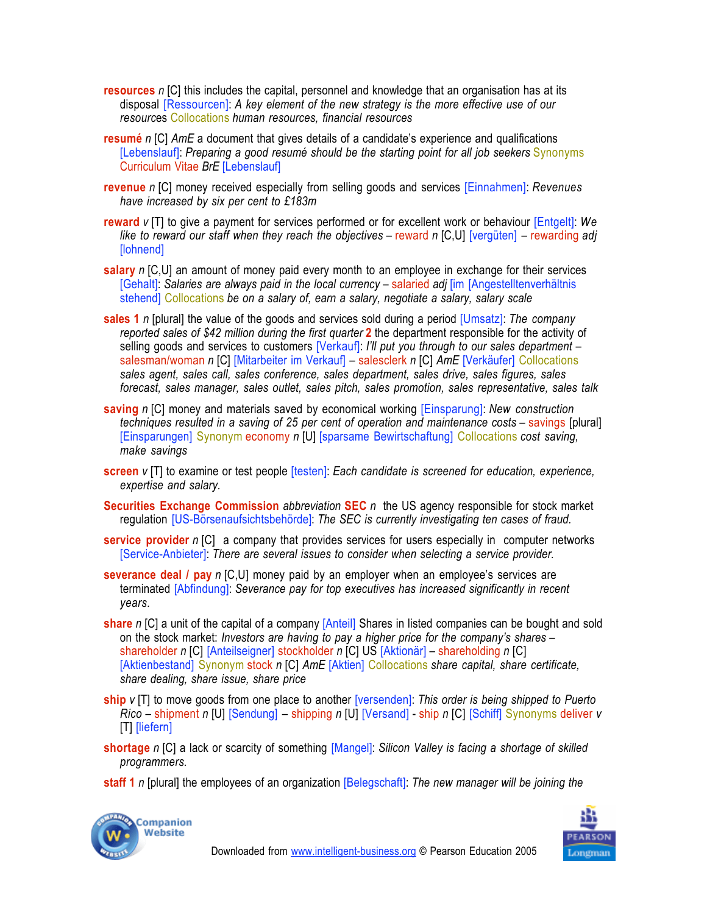- **resources** *n* [C] this includes the capital, personnel and knowledge that an organisation has at its disposal [Ressourcen]: *A key element of the new strategy is the more effective use of our resourc*es Collocations *human resources, financial resources*
- **resumé** *n* [C] *AmE* a document that gives details of a candidate's experience and qualifications [Lebenslauf]: *Preparing a good resumé should be the starting point for all job seekers* Synonyms Curriculum Vitae *BrE* [Lebenslauf]
- **revenue** *n* [C] money received especially from selling goods and services [Einnahmen]: *Revenues have increased by six per cent to £183m*
- **reward** *v* [T] to give a payment for services performed or for excellent work or behaviour [Entgelt]: *We like to reward our staff when they reach the objectives* – reward *n* [C,U] [vergüten] – rewarding *adj* [lohnend]
- **salary** *n* [C,U] an amount of money paid every month to an employee in exchange for their services [Gehalt]: *Salaries are always paid in the local currency* – salaried *adj* [im [Angestelltenverhältnis stehend] Collocations *be on a salary of, earn a salary, negotiate a salary, salary scale*
- **sales 1** *n* [plural] the value of the goods and services sold during a period [Umsatz]: *The company reported sales of \$42 million during the first quarter* **2** the department responsible for the activity of selling goods and services to customers [Verkauf]: *I'll put you through to our sales department* – salesman/woman *n* [C] [Mitarbeiter im Verkauf] – salesclerk *n* [C] *AmE* [Verkäufer] Collocations *sales agent, sales call, sales conference, sales department, sales drive, sales figures, sales forecast, sales manager, sales outlet, sales pitch, sales promotion, sales representative, sales talk*
- **saving** *n* [C] money and materials saved by economical working [Einsparung]: *New construction techniques resulted in a saving of 25 per cent of operation and maintenance costs* – savings [plural] [Einsparungen] Synonym economy *n* [U] [sparsame Bewirtschaftung] Collocations *cost saving, make savings*
- **screen** *v* [T] to examine or test people [testen]: *Each candidate is screened for education, experience, expertise and salary.*
- **Securities Exchange Commission** *abbreviation* **SEC** *n* the US agency responsible for stock market regulation [US-Börsenaufsichtsbehörde]: *The SEC is currently investigating ten cases of fraud.*
- **service provider** *n* [C] a company that provides services for users especially in computer networks [Service-Anbieter]: *There are several issues to consider when selecting a service provider.*
- **severance deal / pay** *n* [C,U] money paid by an employer when an employee's services are terminated [Abfindung]: *Severance pay for top executives has increased significantly in recent years.*
- **share** *n* [C] a unit of the capital of a company [Anteil] Shares in listed companies can be bought and sold on the stock market: *Investors are having to pay a higher price for the company's shares* – shareholder *n* [C] [Anteilseigner] stockholder *n* [C] US [Aktionär] – shareholding *n* [C] [Aktienbestand] Synonym stock *n* [C] *AmE* [Aktien] Collocations *share capital, share certificate, share dealing, share issue, share price*
- **ship** *v* [T] to move goods from one place to another [versenden]: *This order is being shipped to Puerto Rico* – shipment *n* [U] [Sendung] – shipping *n* [U] [Versand] - ship *n* [C] [Schiff] Synonyms deliver *v* [T] [liefern]
- **shortage** *n* [C] a lack or scarcity of something [Mangel]: *Silicon Valley is facing a shortage of skilled programmers.*
- **staff 1** *n* [plural] the employees of an organization [Belegschaft]: *The new manager will be joining the*



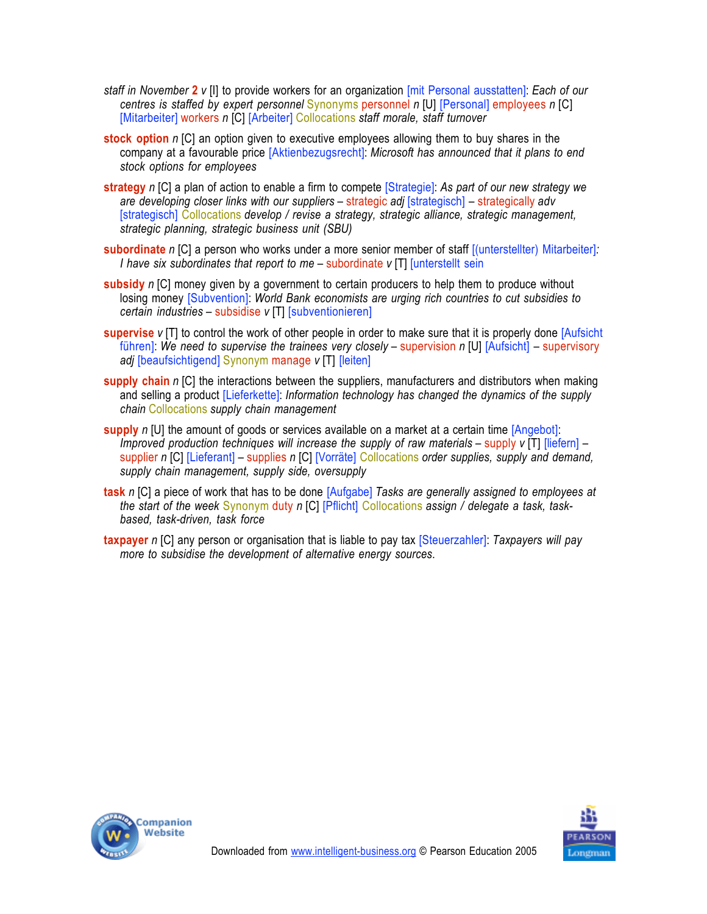- *staff in November* **2** *v* [I] to provide workers for an organization [mit Personal ausstatten]: *Each of our centres is staffed by expert personnel* Synonyms personnel *n* [U] [Personal] employees *n* [C] [Mitarbeiter] workers *n* [C] [Arbeiter] Collocations *staff morale, staff turnover*
- **stock option** *n* [C] an option given to executive employees allowing them to buy shares in the company at a favourable price [Aktienbezugsrecht]: *Microsoft has announced that it plans to end stock options for employees*
- **strategy** *n* [C] a plan of action to enable a firm to compete [Strategie]: *As part of our new strategy we are developing closer links with our suppliers* – strategic *adj* [strategisch] – strategically *adv* [strategisch] Collocations *develop / revise a strategy, strategic alliance, strategic management, strategic planning, strategic business unit (SBU)*
- **subordinate** *n* [C] a person who works under a more senior member of staff [(unterstellter) Mitarbeiter]*: I have six subordinates that report to me – subordinate <i>v* [T] [unterstellt sein
- **subsidy** *n* [C] money given by a government to certain producers to help them to produce without losing money [Subvention]: *World Bank economists are urging rich countries to cut subsidies to certain industries* – subsidise *v* [T] [subventionieren]
- **supervise** *v* [T] to control the work of other people in order to make sure that it is properly done [Aufsicht führen]: *We need to supervise the trainees very closely* – supervision *n* [U] [Aufsicht] – supervisory *adj* [beaufsichtigend] Synonym manage *v* [T] [leiten]
- **supply chain** *n* [C] the interactions between the suppliers, manufacturers and distributors when making and selling a product [Lieferkette]: *Information technology has changed the dynamics of the supply chain* Collocations *supply chain management*
- **supply** *n* [U] the amount of goods or services available on a market at a certain time [Angebot]: *Improved production techniques will increase the supply of raw materials – supply <i>v* [T] *[liefern]* – supplier *n* [C] [Lieferant] – supplies *n* [C] [Vorräte] Collocations *order supplies, supply and demand, supply chain management, supply side, oversupply*
- **task** *n* [C] a piece of work that has to be done [Aufgabe] *Tasks are generally assigned to employees at the start of the week* Synonym duty *n* [C] [Pflicht] Collocations *assign / delegate a task, taskbased, task-driven, task force*
- **taxpayer** *n* [C] any person or organisation that is liable to pay tax [Steuerzahler]: *Taxpayers will pay more to subsidise the development of alternative energy sources*.